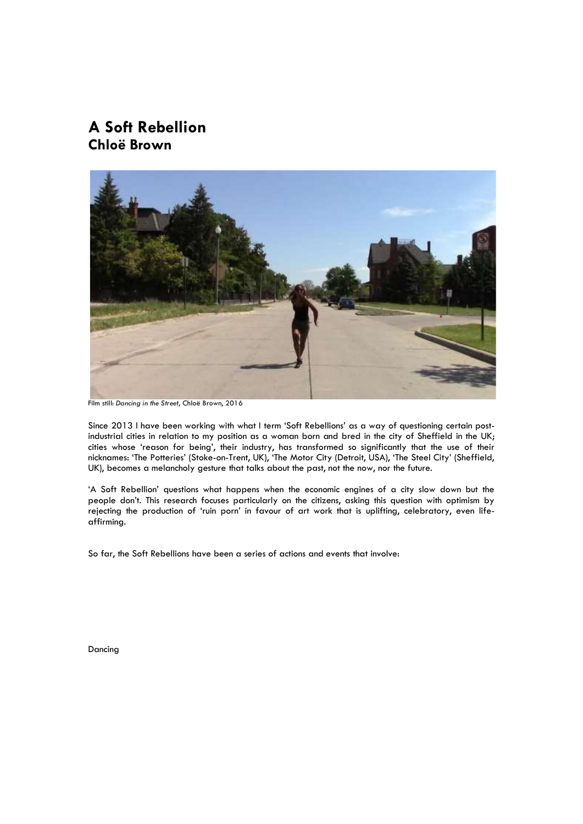# **A Soft Rebellion Chloë Brown**



Film still: *Dancing in the Street*, Chloë Brown, 2016

Since 2013 I have been working with what I term 'Soft Rebellions' as a way of questioning certain postindustrial cities in relation to my position as a woman born and bred in the city of Sheffield in the UK; cities whose 'reason for being', their industry, has transformed so significantly that the use of their nicknames: 'The Potteries' (Stoke-on-Trent, UK), 'The Motor City (Detroit, USA), 'The Steel City' (Sheffield, UK), becomes a melancholy gesture that talks about the past, not the now, nor the future.

'A Soft Rebellion' questions what happens when the economic engines of a city slow down but the people don't. This research focuses particularly on the citizens, asking this question with optimism by rejecting the production of 'ruin porn' in favour of art work that is uplifting, celebratory, even lifeaffirming.

So far, the Soft Rebellions have been a series of actions and events that involve:

Dancing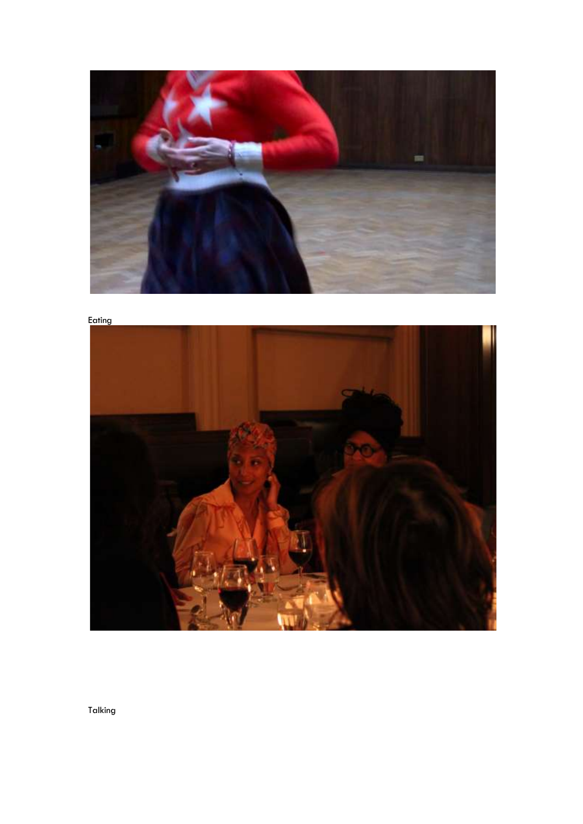



Talking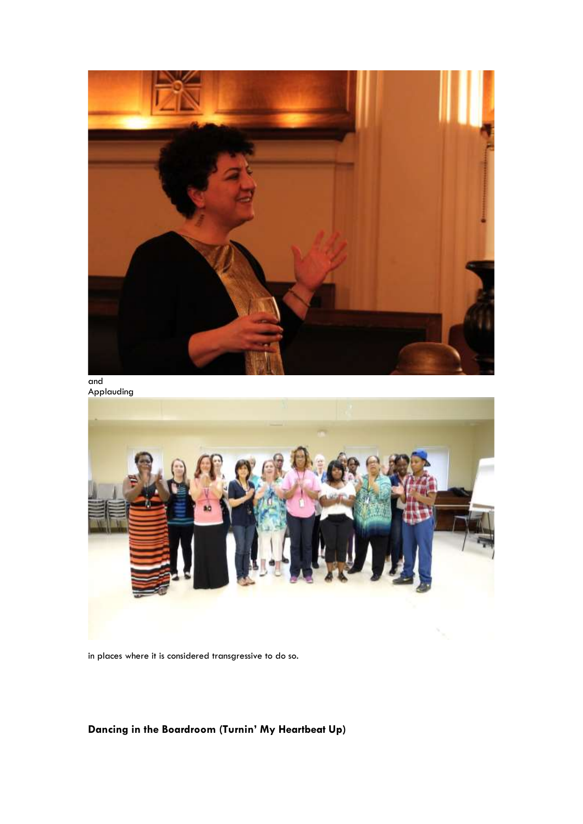

and Applauding



in places where it is considered transgressive to do so.

# **Dancing in the Boardroom (Turnin' My Heartbeat Up)**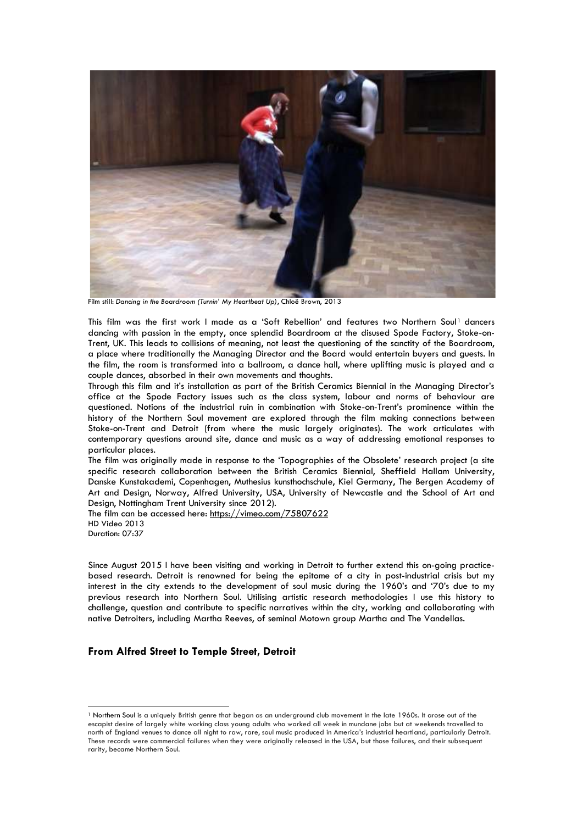

Film still: *Dancing in the Boardroom (Turnin' My Heartbeat Up)*, Chloë Brown, 2013

This film was the first work I made as a 'Soft Rebellion' and features two Northern Soul1 dancers dancing with passion in the empty, once splendid Boardroom at the disused Spode Factory, Stoke-on-Trent, UK. This leads to collisions of meaning, not least the questioning of the sanctity of the Boardroom, a place where traditionally the Managing Director and the Board would entertain buyers and guests. In the film, the room is transformed into a ballroom, a dance hall, where uplifting music is played and a couple dances, absorbed in their own movements and thoughts.

Through this film and it's installation as part of the British Ceramics Biennial in the Managing Director's office at the Spode Factory issues such as the class system, labour and norms of behaviour are questioned. Notions of the industrial ruin in combination with Stoke-on-Trent's prominence within the history of the Northern Soul movement are explored through the film making connections between Stoke-on-Trent and Detroit (from where the music largely originates). The work articulates with contemporary questions around site, dance and music as a way of addressing emotional responses to particular places.

The film was originally made in response to the 'Topographies of the Obsolete' research project (a site specific research collaboration between the British Ceramics Biennial, Sheffield Hallam University, Danske Kunstakademi, Copenhagen, Muthesius kunsthochschule, Kiel Germany, The Bergen Academy of Art and Design, Norway, Alfred University, USA, University of Newcastle and the School of Art and Design, Nottingham Trent University since 2012).

The film can be accessed here:<https://vimeo.com/75807622> HD Video 2013 Duration: 07:37

Since August 2015 I have been visiting and working in Detroit to further extend this on-going practicebased research. Detroit is renowned for being the epitome of a city in post-industrial crisis but my interest in the city extends to the development of soul music during the 1960's and '70's due to my previous research into Northern Soul. Utilising artistic research methodologies I use this history to challenge, question and contribute to specific narratives within the city, working and collaborating with native Detroiters, including Martha Reeves, of seminal Motown group Martha and The Vandellas.

## **From Alfred Street to Temple Street, Detroit**

<sup>1</sup> Northern Soul is a uniquely British genre that began as an underground club movement in the late 1960s. It arose out of the escapist desire of largely white working class young adults who worked all week in mundane jobs but at weekends travelled to north of England venues to dance all night to raw, rare, soul music produced in America's industrial heartland, particularly Detroit. These records were commercial failures when they were originally released in the USA, but those failures, and their subsequent rarity, became Northern Soul.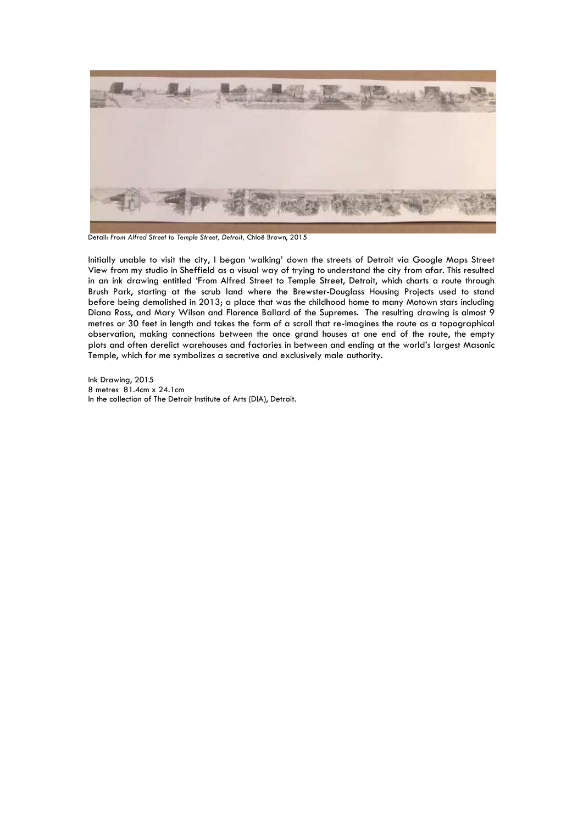

Detail: *From Alfred Street to Temple Street, Detroit,* Chloë Brown, 2015

Initially unable to visit the city, I began 'walking' down the streets of Detroit via Google Maps Street View from my studio in Sheffield as a visual way of trying to understand the city from afar. This resulted in an ink drawing entitled 'From Alfred Street to Temple Street, Detroit, which charts a route through Brush Park, starting at the scrub land where the Brewster-Douglass Housing Projects used to stand before being demolished in 2013; a place that was the childhood home to many Motown stars including Diana Ross, and Mary Wilson and Florence Ballard of the Supremes. The resulting drawing is almost 9 metres or 30 feet in length and takes the form of a scroll that re-imagines the route as a topographical observation, making connections between the once grand houses at one end of the route, the empty plots and often derelict warehouses and factories in between and ending at the world's largest Masonic Temple, which for me symbolizes a secretive and exclusively male authority.

Ink Drawing, 2015 8 metres 81.4cm x 24.1cm In the collection of The Detroit Institute of Arts (DIA), Detroit.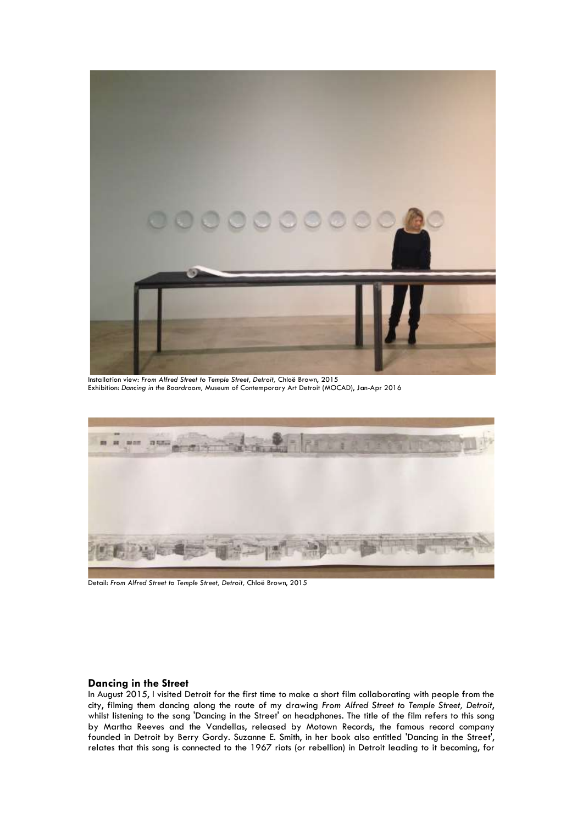

Installation view: *From Alfred Street to Temple Street, Detroit,* Chloë Brown, 2015 Exhibition: *Dancing in the Boardroom,* Museum of Contemporary Art Detroit (MOCAD), Jan-Apr 2016



Detail: *From Alfred Street to Temple Street, Detroit,* Chloë Brown, 2015

#### **Dancing in the Street**

In August 2015, I visited Detroit for the first time to make a short film collaborating with people from the city, filming them dancing along the route of my drawing *From Alfred Street to Temple Street, Detroit*, whilst listening to the song 'Dancing in the Street' on headphones. The title of the film refers to this song by Martha Reeves and the Vandellas, released by Motown Records, the famous record company founded in Detroit by Berry Gordy. Suzanne E. Smith, in her book also entitled 'Dancing in the Street', relates that this song is connected to the 1967 riots (or rebellion) in Detroit leading to it becoming, for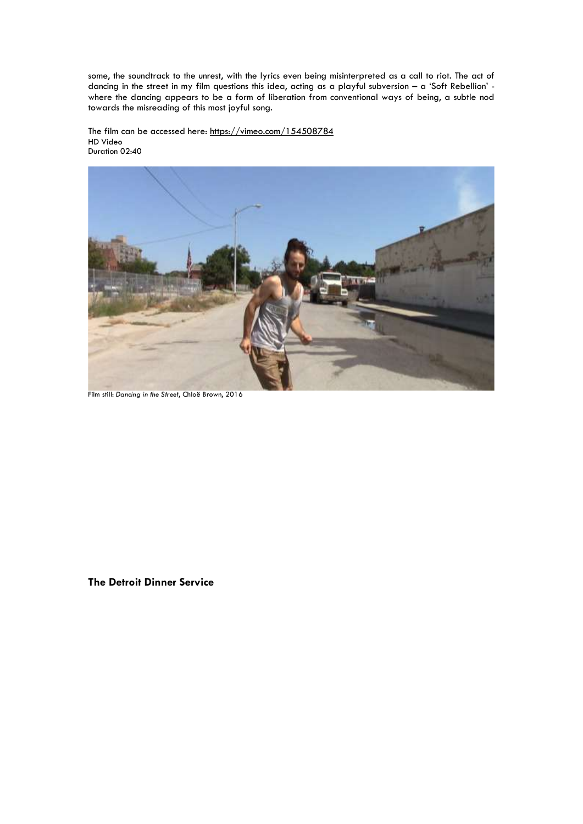some, the soundtrack to the unrest, with the lyrics even being misinterpreted as a call to riot. The act of dancing in the street in my film questions this idea, acting as a playful subversion – a 'Soft Rebellion' where the dancing appears to be a form of liberation from conventional ways of being, a subtle nod towards the misreading of this most joyful song.

The film can be accessed here:<https://vimeo.com/154508784> HD Video Duration 02:40



Film still: *Dancing in the Street*, Chloë Brown, 2016

**The Detroit Dinner Service**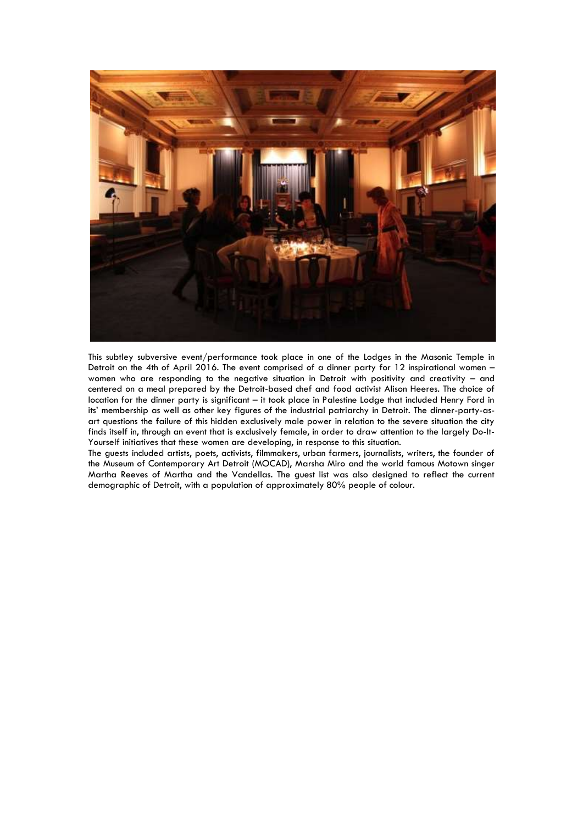

This subtley subversive event/performance took place in one of the Lodges in the Masonic Temple in Detroit on the 4th of April 2016. The event comprised of a dinner party for 12 inspirational women – women who are responding to the negative situation in Detroit with positivity and creativity – and centered on a meal prepared by the Detroit-based chef and food activist Alison Heeres. The choice of location for the dinner party is significant – it took place in Palestine Lodge that included Henry Ford in its' membership as well as other key figures of the industrial patriarchy in Detroit. The dinner-party-asart questions the failure of this hidden exclusively male power in relation to the severe situation the city finds itself in, through an event that is exclusively female, in order to draw attention to the largely Do-It-Yourself initiatives that these women are developing, in response to this situation.

The guests included artists, poets, activists, filmmakers, urban farmers, journalists, writers, the founder of the Museum of Contemporary Art Detroit (MOCAD), Marsha Miro and the world famous Motown singer Martha Reeves of Martha and the Vandellas. The guest list was also designed to reflect the current demographic of Detroit, with a population of approximately 80% people of colour.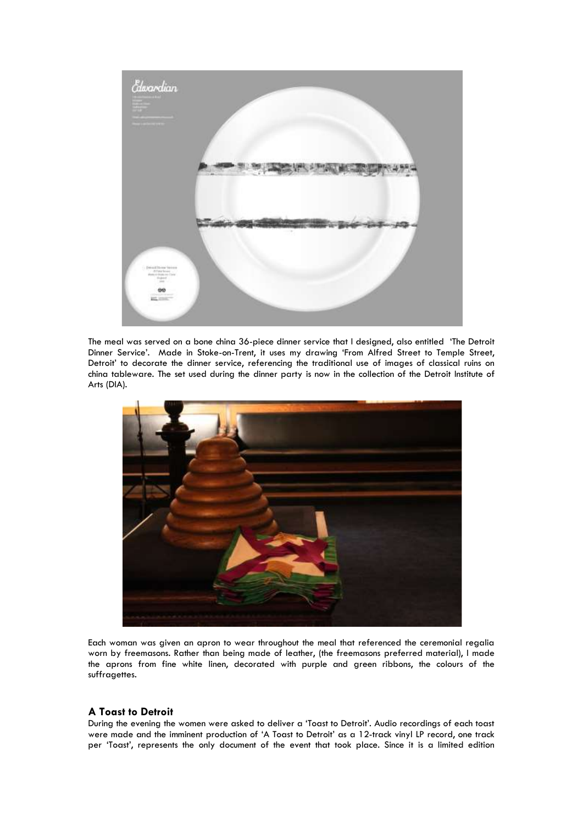

The meal was served on a bone china 36-piece dinner service that I designed, also entitled 'The Detroit Dinner Service'. Made in Stoke-on-Trent, it uses my drawing 'From Alfred Street to Temple Street, Detroit' to decorate the dinner service, referencing the traditional use of images of classical ruins on china tableware. The set used during the dinner party is now in the collection of the Detroit Institute of Arts (DIA).



Each woman was given an apron to wear throughout the meal that referenced the ceremonial regalia worn by freemasons. Rather than being made of leather, (the freemasons preferred material), I made the aprons from fine white linen, decorated with purple and green ribbons, the colours of the suffragettes.

### **A Toast to Detroit**

During the evening the women were asked to deliver a 'Toast to Detroit'. Audio recordings of each toast were made and the imminent production of 'A Toast to Detroit' as a 12-track vinyl LP record, one track per 'Toast', represents the only document of the event that took place. Since it is a limited edition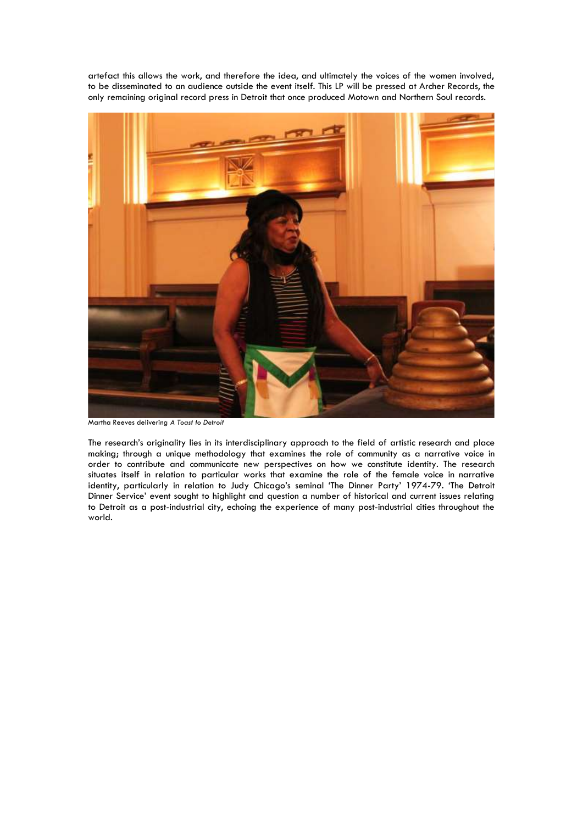artefact this allows the work, and therefore the idea, and ultimately the voices of the women involved, to be disseminated to an audience outside the event itself. This LP will be pressed at Archer Records, the only remaining original record press in Detroit that once produced Motown and Northern Soul records.



Martha Reeves delivering *A Toast to Detroit*

The research's originality lies in its interdisciplinary approach to the field of artistic research and place making; through a unique methodology that examines the role of community as a narrative voice in order to contribute and communicate new perspectives on how we constitute identity. The research situates itself in relation to particular works that examine the role of the female voice in narrative identity, particularly in relation to Judy Chicago's seminal 'The Dinner Party' 1974-79. 'The Detroit Dinner Service' event sought to highlight and question a number of historical and current issues relating to Detroit as a post-industrial city, echoing the experience of many post-industrial cities throughout the world.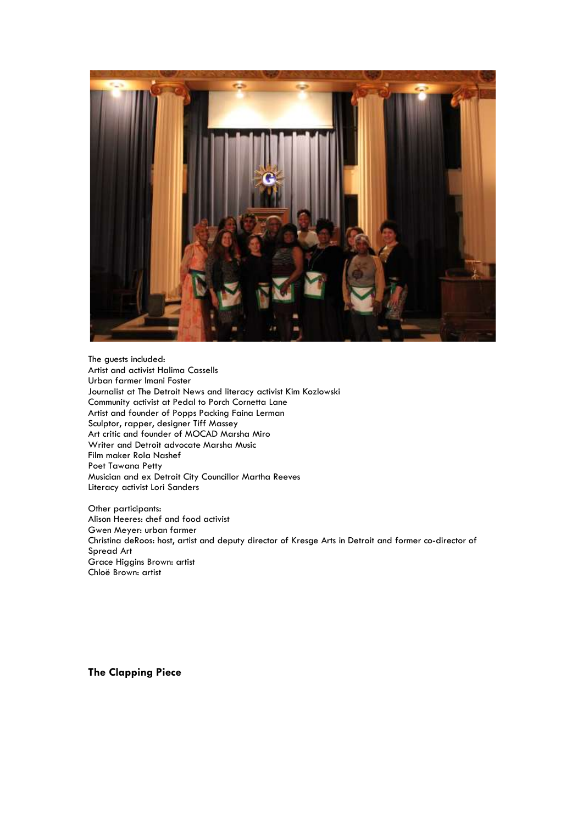

The guests included: Artist and activist Halima Cassells Urban farmer Imani Foster Journalist at The Detroit News and literacy activist Kim Kozlowski Community activist at Pedal to Porch Cornetta Lane Artist and founder of Popps Packing Faina Lerman Sculptor, rapper, designer Tiff Massey Art critic and founder of MOCAD Marsha Miro Writer and Detroit advocate Marsha Music Film maker Rola Nashef Poet Tawana Petty Musician and ex Detroit City Councillor Martha Reeves Literacy activist Lori Sanders

Other participants: Alison Heeres: chef and food activist Gwen Meyer: urban farmer Christina deRoos: host, artist and deputy director of Kresge Arts in Detroit and former co-director of Spread Art Grace Higgins Brown: artist Chloë Brown: artist

**The Clapping Piece**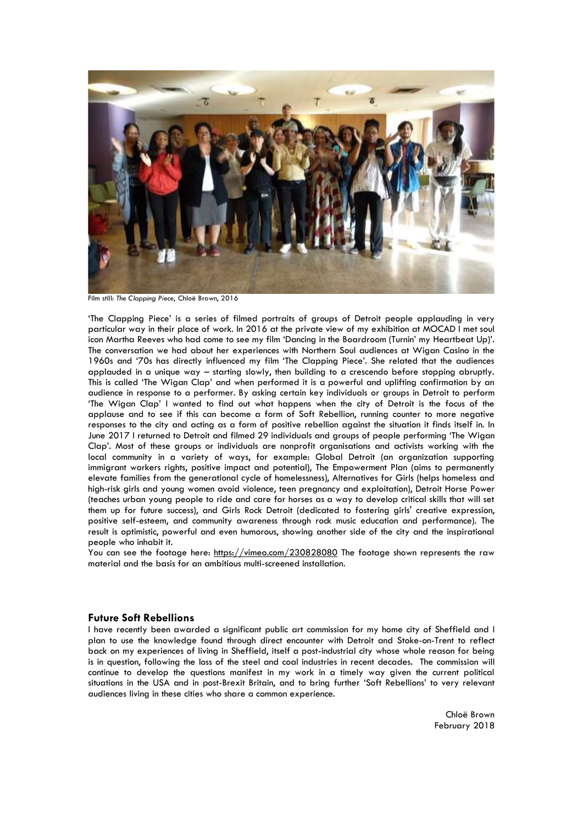

Film still: *The Clapping Piece*, Chloë Brown, 2016

'The Clapping Piece' is a series of filmed portraits of groups of Detroit people applauding in very particular way in their place of work. In 2016 at the private view of my exhibition at MOCAD I met soul icon Martha Reeves who had come to see my film 'Dancing in the Boardroom (Turnin' my Heartbeat Up)'. The conversation we had about her experiences with Northern Soul audiences at Wigan Casino in the 1960s and '70s has directly influenced my film 'The Clapping Piece'. She related that the audiences applauded in a unique way – starting slowly, then building to a crescendo before stopping abruptly. This is called 'The Wigan Clap' and when performed it is a powerful and uplifting confirmation by an audience in response to a performer. By asking certain key individuals or groups in Detroit to perform 'The Wigan Clap' I wanted to find out what happens when the city of Detroit is the focus of the applause and to see if this can become a form of Soft Rebellion, running counter to more negative responses to the city and acting as a form of positive rebellion against the situation it finds itself in. In June 2017 I returned to Detroit and filmed 29 individuals and groups of people performing 'The Wigan Clap'. Most of these groups or individuals are nonprofit organisations and activists working with the local community in a variety of ways, for example: Global Detroit (an organization supporting immigrant workers rights, positive impact and potential), The Empowerment Plan (aims to permanently elevate families from the generational cycle of homelessness), Alternatives for Girls (helps homeless and high-risk girls and young women avoid violence, teen pregnancy and exploitation), Detroit Horse Power (teaches urban young people to ride and care for horses as a way to develop critical skills that will set them up for future success), and Girls Rock Detroit (dedicated to fostering girls' creative expression, positive self-esteem, and community awareness through rock music education and performance). The result is optimistic, powerful and even humorous, showing another side of the city and the inspirational people who inhabit it.

You can see the footage here:<https://vimeo.com/230828080> The footage shown represents the raw material and the basis for an ambitious multi-screened installation.

#### **Future Soft Rebellions**

I have recently been awarded a significant public art commission for my home city of Sheffield and I plan to use the knowledge found through direct encounter with Detroit and Stoke-on-Trent to reflect back on my experiences of living in Sheffield, itself a post-industrial city whose whole reason for being is in question, following the loss of the steel and coal industries in recent decades. The commission will continue to develop the questions manifest in my work in a timely way given the current political situations in the USA and in post-Brexit Britain, and to bring further 'Soft Rebellions' to very relevant audiences living in these cities who share a common experience.